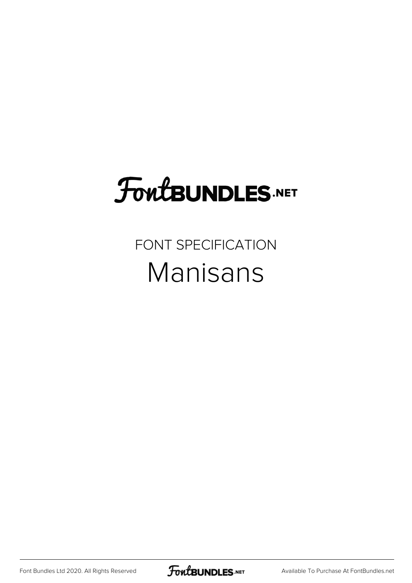## **FoutBUNDLES.NET**

#### FONT SPECIFICATION Manisans

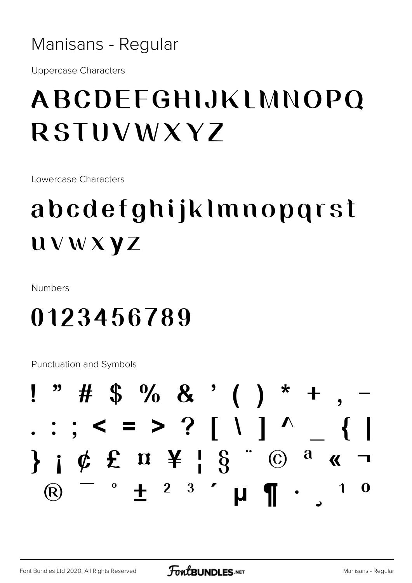Manisans - Regular

**Uppercase Characters** 

### ABCDEEGHIJKI MNOPO **RSTUVWXYZ**

Lowercase Characters

## abcdefghijklmnopgrst **UVWXYZ**

**Numbers** 

#### 0123456789

**Punctuation and Symbols** 

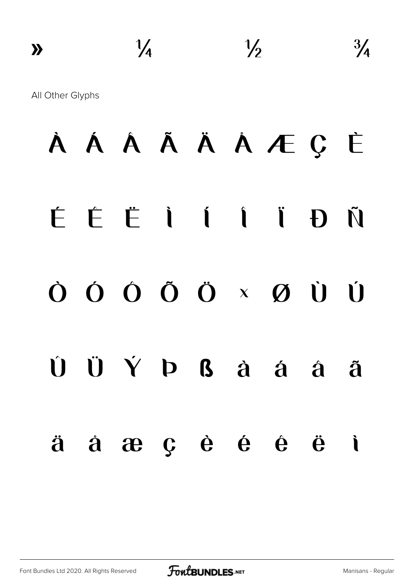# À Á Â Ã Ä Å Æ Ç È É Ê Ë Ì Í Î Ï Ð Ñ Ò Ó Ô Õ Ö × Ø Ù Ú  $\hat{U}$   $\hat{U}$   $\hat{Y}$   $D$   $B$   $\hat{a}$   $\hat{a}$   $\hat{a}$   $\hat{a}$   $\hat{a}$ ä å æ ç è é ê ë ì